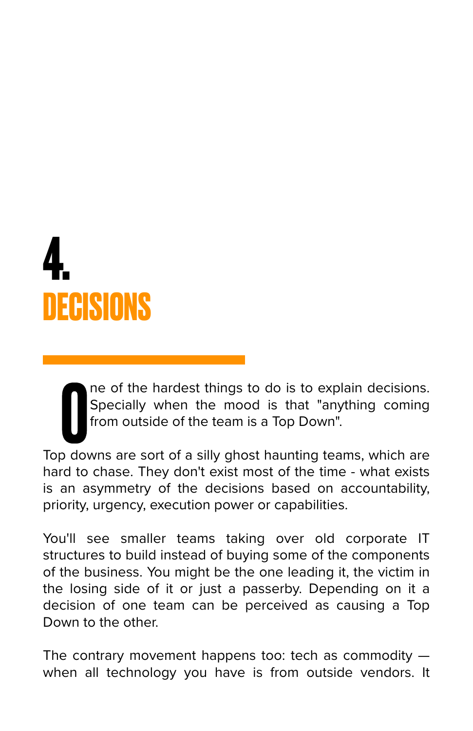## **4. DECISIONS**

The of the hardest things to do is to explain decisions.<br>Specially when the mood is that "anything coming from outside of the team is a Top Down".<br>Top downs are sort of a silly ghost haunting teams, which are ne of the hardest things to do is to explain decisions. Specially when the mood is that "anything coming from outside of the team is a Top Down".

hard to chase. They don't exist most of the time - what exists is an asymmetry of the decisions based on accountability, priority, urgency, execution power or capabilities.

You'll see smaller teams taking over old corporate IT structures to build instead of buying some of the components of the business. You might be the one leading it, the victim in the losing side of it or just a passerby. Depending on it a decision of one team can be perceived as causing a Top Down to the other.

The contrary movement happens too: tech as commodity when all technology you have is from outside vendors. It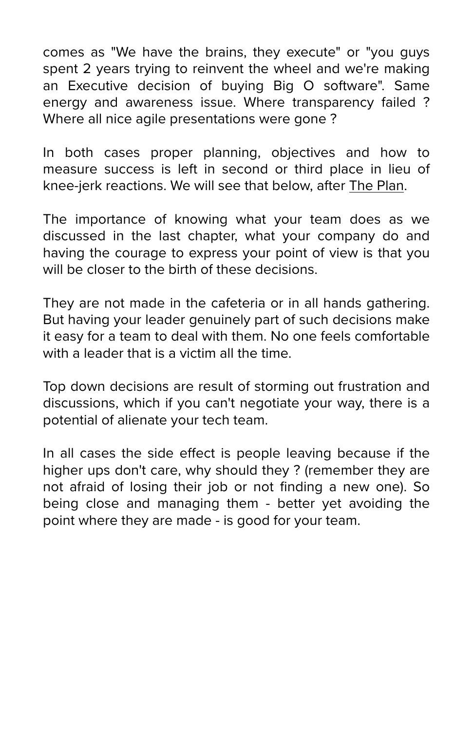comes as "We have the brains, they execute" or "you guys spent 2 years trying to reinvent the wheel and we're making an Executive decision of buying Big O software". Same energy and awareness issue. Where transparency failed ? Where all nice agile presentations were gone ?

In both cases proper planning, objectives and how to measure success is left in second or third place in lieu of knee-jerk reactions. We will see that below, after [The Plan](https://github.com/gleicon/ebook_cto_field_guide/blob/main/index.md#the-plan).

The importance of knowing what your team does as we discussed in the last chapter, what your company do and having the courage to express your point of view is that you will be closer to the birth of these decisions.

They are not made in the cafeteria or in all hands gathering. But having your leader genuinely part of such decisions make it easy for a team to deal with them. No one feels comfortable with a leader that is a victim all the time.

Top down decisions are result of storming out frustration and discussions, which if you can't negotiate your way, there is a potential of alienate your tech team.

In all cases the side effect is people leaving because if the higher ups don't care, why should they ? (remember they are not afraid of losing their job or not finding a new one). So being close and managing them - better yet avoiding the point where they are made - is good for your team.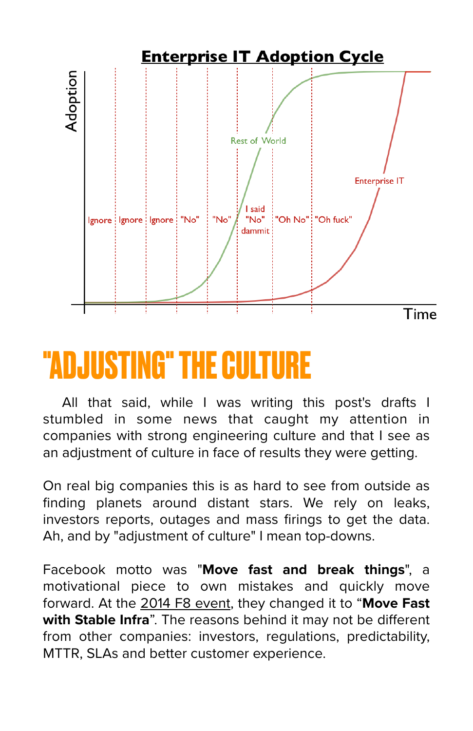

## **"ADJUSTING" THE CULTURE**

All that said, while I was writing this post's drafts I stumbled in some news that caught my attention in companies with strong engineering culture and that I see as an adjustment of culture in face of results they were getting.

On real big companies this is as hard to see from outside as finding planets around distant stars. We rely on leaks, investors reports, outages and mass firings to get the data. Ah, and by "adjustment of culture" I mean top-downs.

Facebook motto was "**Move fast and break things**", a motivational piece to own mistakes and quickly move forward. At the [2014 F8 event,](http://mashable.com/2014/04/30/facebooks-new-mantra-move-fast-with-stability/) they changed it to "**Move Fast with Stable Infra**". The reasons behind it may not be different from other companies: investors, regulations, predictability, MTTR, SLAs and better customer experience.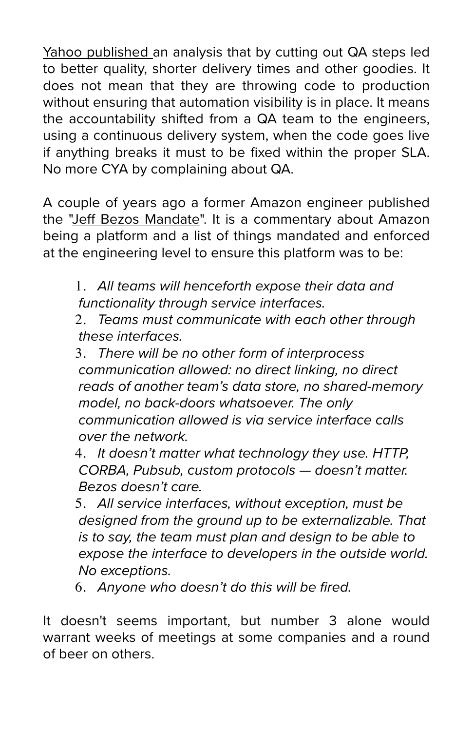[Yahoo published](http://spectrum.ieee.org/view-from-the-valley/computing/software/yahoos-engineers-move-to-coding-without-a-net) an analysis that by cutting out QA steps led to better quality, shorter delivery times and other goodies. It does not mean that they are throwing code to production without ensuring that automation visibility is in place. It means the accountability shifted from a QA team to the engineers, using a continuous delivery system, when the code goes live if anything breaks it must to be fixed within the proper SLA. No more CYA by complaining about QA.

A couple of years ago a former Amazon engineer published the "Jeff [Bezos Mandate](https://plus.google.com/+RipRowan/posts/eVeouesvaVX)". It is a commentary about Amazon being a platform and a list of things mandated and enforced at the engineering level to ensure this platform was to be:

1. *All teams will henceforth expose their data and functionality through service interfaces.*

2. *Teams must communicate with each other through these interfaces.*

3. *There will be no other form of interprocess communication allowed: no direct linking, no direct reads of another team's data store, no shared-memory model, no back-doors whatsoever. The only communication allowed is via service interface calls over the network.*

4. *It doesn't matter what technology they use. HTTP, CORBA, Pubsub, custom protocols — doesn't matter. Bezos doesn't care.*

5. *All service interfaces, without exception, must be designed from the ground up to be externalizable. That is to say, the team must plan and design to be able to expose the interface to developers in the outside world. No exceptions.*

6. *Anyone who doesn't do this will be fired.*

It doesn't seems important, but number 3 alone would warrant weeks of meetings at some companies and a round of beer on others.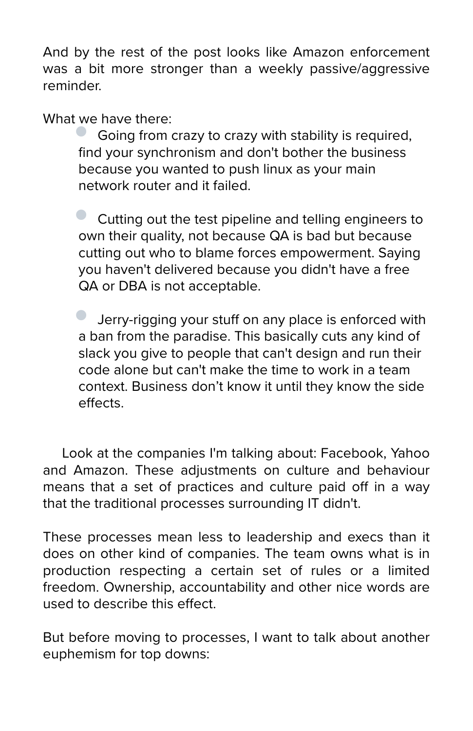And by the rest of the post looks like Amazon enforcement was a bit more stronger than a weekly passive/aggressive reminder.

What we have there:

• Going from crazy to crazy with stability is required, find your synchronism and don't bother the business because you wanted to push linux as your main network router and it failed.

• Cutting out the test pipeline and telling engineers to own their quality, not because QA is bad but because cutting out who to blame forces empowerment. Saying you haven't delivered because you didn't have a free QA or DBA is not acceptable.

• Jerry-rigging your stuff on any place is enforced with a ban from the paradise. This basically cuts any kind of slack you give to people that can't design and run their code alone but can't make the time to work in a team context. Business don't know it until they know the side effects.

Look at the companies I'm talking about: Facebook, Yahoo and Amazon. These adjustments on culture and behaviour means that a set of practices and culture paid off in a way that the traditional processes surrounding IT didn't.

These processes mean less to leadership and execs than it does on other kind of companies. The team owns what is in production respecting a certain set of rules or a limited freedom. Ownership, accountability and other nice words are used to describe this effect.

But before moving to processes, I want to talk about another euphemism for top downs: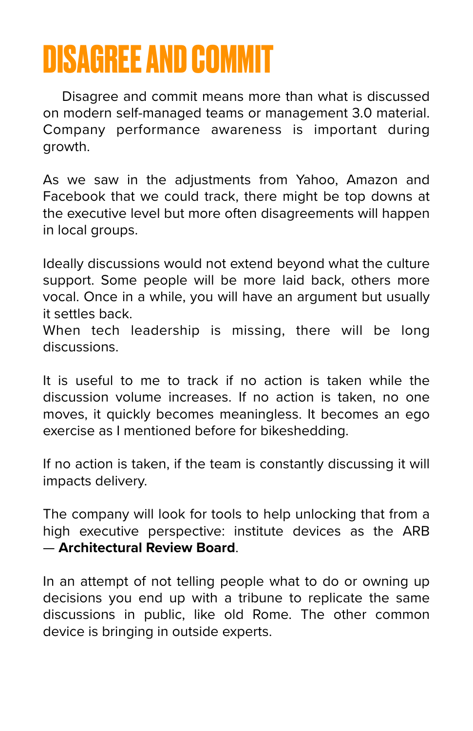## **DISAGREE AND COMMIT**

Disagree and commit means more than what is discussed on modern self-managed teams or management 3.0 material. Company performance awareness is important during growth.

As we saw in the adjustments from Yahoo, Amazon and Facebook that we could track, there might be top downs at the executive level but more often disagreements will happen in local groups.

Ideally discussions would not extend beyond what the culture support. Some people will be more laid back, others more vocal. Once in a while, you will have an argument but usually it settles back.

When tech leadership is missing, there will be long discussions.

It is useful to me to track if no action is taken while the discussion volume increases. If no action is taken, no one moves, it quickly becomes meaningless. It becomes an ego exercise as I mentioned before for bikeshedding.

If no action is taken, if the team is constantly discussing it will impacts delivery.

The company will look for tools to help unlocking that from a high executive perspective: institute devices as the ARB — **Architectural Review Board**.

In an attempt of not telling people what to do or owning up decisions you end up with a tribune to replicate the same discussions in public, like old Rome. The other common device is bringing in outside experts.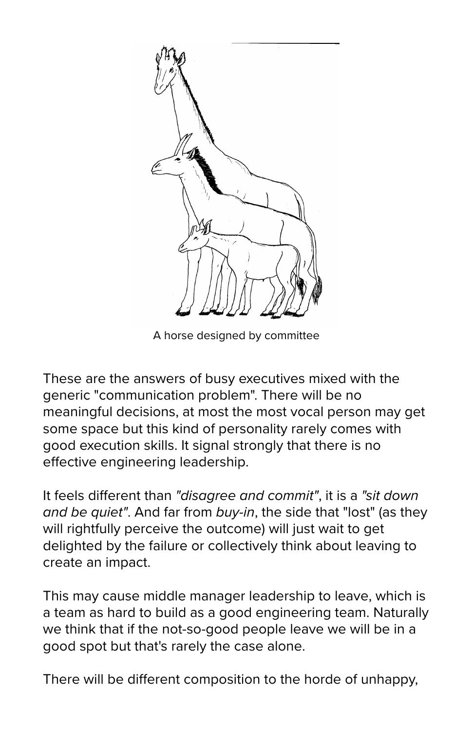

A horse designed by committee

These are the answers of busy executives mixed with the generic "communication problem". There will be no meaningful decisions, at most the most vocal person may get some space but this kind of personality rarely comes with good execution skills. It signal strongly that there is no effective engineering leadership.

It feels different than *"disagree and commit"*, it is a *"sit down and be quiet"*. And far from *buy-in*, the side that "lost" (as they will rightfully perceive the outcome) will just wait to get delighted by the failure or collectively think about leaving to create an impact.

This may cause middle manager leadership to leave, which is a team as hard to build as a good engineering team. Naturally we think that if the not-so-good people leave we will be in a good spot but that's rarely the case alone.

There will be different composition to the horde of unhappy,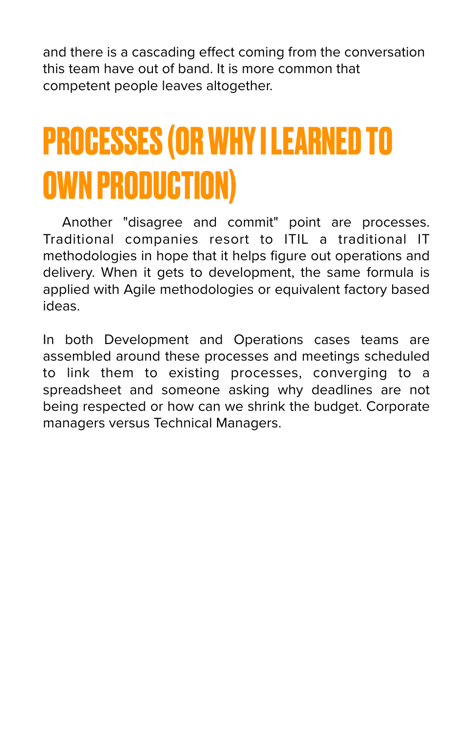and there is a cascading effect coming from the conversation this team have out of band. It is more common that competent people leaves altogether.

## **PROCESSES (OR WHY I LEARNED TO OWN PRODUCTION)**

Another "disagree and commit" point are processes. Traditional companies resort to ITIL a traditional IT methodologies in hope that it helps figure out operations and delivery. When it gets to development, the same formula is applied with Agile methodologies or equivalent factory based ideas.

In both Development and Operations cases teams are assembled around these processes and meetings scheduled to link them to existing processes, converging to a spreadsheet and someone asking why deadlines are not being respected or how can we shrink the budget. Corporate managers versus Technical Managers.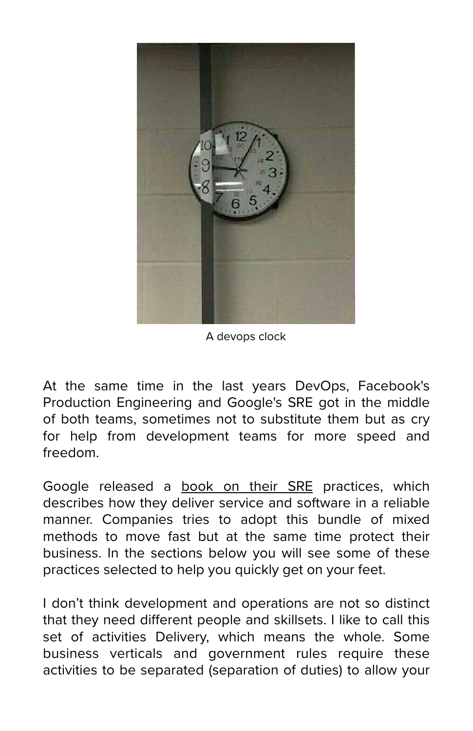

A devops clock

At the same time in the last years DevOps, Facebook's Production Engineering and Google's SRE got in the middle of both teams, sometimes not to substitute them but as cry for help from development teams for more speed and freedom.

Google released a [book on their SRE](https://landing.google.com/sre/book.html) practices, which describes how they deliver service and software in a reliable manner. Companies tries to adopt this bundle of mixed methods to move fast but at the same time protect their business. In the sections below you will see some of these practices selected to help you quickly get on your feet.

I don't think development and operations are not so distinct that they need different people and skillsets. I like to call this set of activities Delivery, which means the whole. Some business verticals and government rules require these activities to be separated (separation of duties) to allow your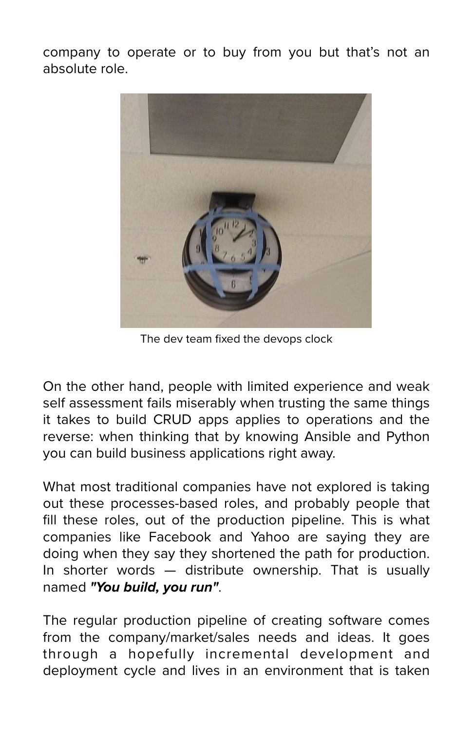company to operate or to buy from you but that's not an absolute role.



The dev team fixed the devops clock

On the other hand, people with limited experience and weak self assessment fails miserably when trusting the same things it takes to build CRUD apps applies to operations and the reverse: when thinking that by knowing Ansible and Python you can build business applications right away.

What most traditional companies have not explored is taking out these processes-based roles, and probably people that fill these roles, out of the production pipeline. This is what companies like Facebook and Yahoo are saying they are doing when they say they shortened the path for production. In shorter words — distribute ownership. That is usually named *"You build, you run"*.

The regular production pipeline of creating software comes from the company/market/sales needs and ideas. It goes through a hopefully incremental development and deployment cycle and lives in an environment that is taken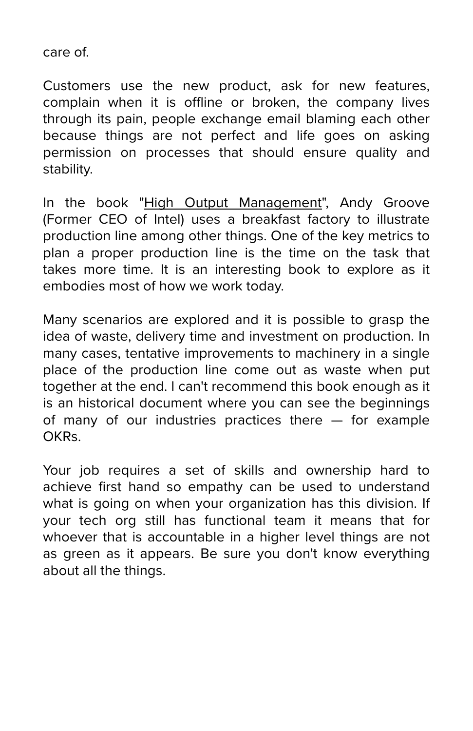care of.

Customers use the new product, ask for new features, complain when it is offline or broken, the company lives through its pain, people exchange email blaming each other because things are not perfect and life goes on asking permission on processes that should ensure quality and stability.

In the book "[High Output Management"](https://www.amazon.com/High-Output-Management-Andrew-Grove/dp/0679762884/ref=sr_1_1?ie=UTF8&qid=1522418806&sr=8-1&keywords=high+output+management), Andy Groove (Former CEO of Intel) uses a breakfast factory to illustrate production line among other things. One of the key metrics to plan a proper production line is the time on the task that takes more time. It is an interesting book to explore as it embodies most of how we work today.

Many scenarios are explored and it is possible to grasp the idea of waste, delivery time and investment on production. In many cases, tentative improvements to machinery in a single place of the production line come out as waste when put together at the end. I can't recommend this book enough as it is an historical document where you can see the beginnings of many of our industries practices there — for example OKRs.

Your job requires a set of skills and ownership hard to achieve first hand so empathy can be used to understand what is going on when your organization has this division. If your tech org still has functional team it means that for whoever that is accountable in a higher level things are not as green as it appears. Be sure you don't know everything about all the things.